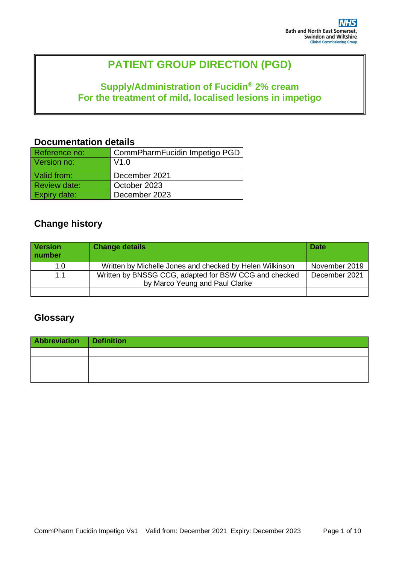# **PATIENT GROUP DIRECTION (PGD)**

# **Supply/Administration of Fucidin® 2% cream For the treatment of mild, localised lesions in impetigo**

### **Documentation details**

| Reference no:       | CommPharmFucidin Impetigo PGD |
|---------------------|-------------------------------|
| Version no:         | V1.0                          |
| Valid from:         | December 2021                 |
| <b>Review date:</b> | October 2023                  |
| <b>Expiry date:</b> | December 2023                 |

# **Change history**

| <b>Version</b><br>number | <b>Change details</b>                                                                   | <b>Date</b>   |
|--------------------------|-----------------------------------------------------------------------------------------|---------------|
| 1.0                      | Written by Michelle Jones and checked by Helen Wilkinson                                | November 2019 |
| 1.1                      | Written by BNSSG CCG, adapted for BSW CCG and checked<br>by Marco Yeung and Paul Clarke | December 2021 |
|                          |                                                                                         |               |

# **Glossary**

| Abbreviation Definition |  |
|-------------------------|--|
|                         |  |
|                         |  |
|                         |  |
|                         |  |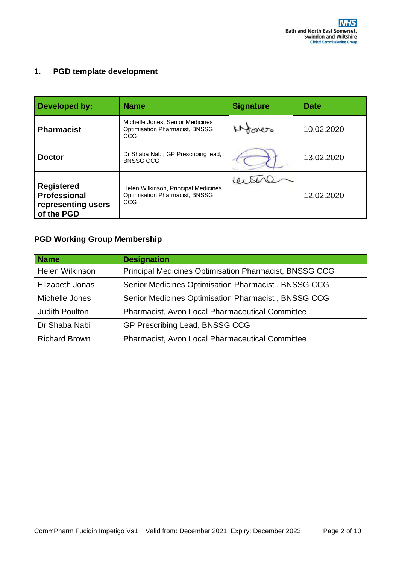### **1. PGD template development**

| Developed by:                                                         | <b>Name</b>                                                                      | <b>Signature</b> | <b>Date</b> |
|-----------------------------------------------------------------------|----------------------------------------------------------------------------------|------------------|-------------|
| <b>Pharmacist</b>                                                     | Michelle Jones, Senior Medicines<br><b>Optimisation Pharmacist, BNSSG</b><br>CCG | fones            | 10.02.2020  |
| <b>Doctor</b>                                                         | Dr Shaba Nabi, GP Prescribing lead,<br><b>BNSSG CCG</b>                          |                  | 13.02.2020  |
| <b>Registered</b><br>Professional<br>representing users<br>of the PGD | Helen Wilkinson, Principal Medicines<br>Optimisation Pharmacist, BNSSG<br>CCG    |                  | 12.02.2020  |

### **PGD Working Group Membership**

| <b>Name</b>            | <b>Designation</b>                                            |
|------------------------|---------------------------------------------------------------|
| <b>Helen Wilkinson</b> | <b>Principal Medicines Optimisation Pharmacist, BNSSG CCG</b> |
| Elizabeth Jonas        | Senior Medicines Optimisation Pharmacist, BNSSG CCG           |
| Michelle Jones         | Senior Medicines Optimisation Pharmacist, BNSSG CCG           |
| <b>Judith Poulton</b>  | <b>Pharmacist, Avon Local Pharmaceutical Committee</b>        |
| Dr Shaba Nabi          | GP Prescribing Lead, BNSSG CCG                                |
| <b>Richard Brown</b>   | Pharmacist, Avon Local Pharmaceutical Committee               |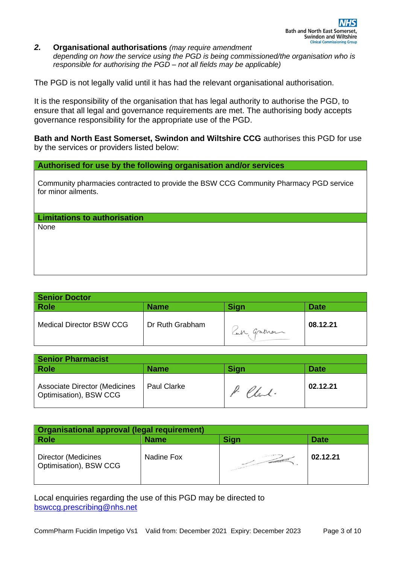*2.* **Organisational authorisations** *(may require amendment depending on how the service using the PGD is being commissioned/the organisation who is responsible for authorising the PGD – not all fields may be applicable)* 

The PGD is not legally valid until it has had the relevant organisational authorisation.

It is the responsibility of the organisation that has legal authority to authorise the PGD, to ensure that all legal and governance requirements are met. The authorising body accepts governance responsibility for the appropriate use of the PGD.

**Bath and North East Somerset, Swindon and Wiltshire CCG** authorises this PGD for use by the services or providers listed below:

**Authorised for use by the following organisation and/or services**

Community pharmacies contracted to provide the BSW CCG Community Pharmacy PGD service for minor ailments.

**Limitations to authorisation**

None

| <b>Senior Doctor</b>            |                 |            |             |
|---------------------------------|-----------------|------------|-------------|
| <b>Role</b>                     | <b>Name</b>     | Sign       | <b>Date</b> |
| <b>Medical Director BSW CCG</b> | Dr Ruth Grabham | Can graman | 08.12.21    |

| <b>Senior Pharmacist</b>                                       |                    |             |             |
|----------------------------------------------------------------|--------------------|-------------|-------------|
| Role                                                           | <b>Name</b>        | <b>Sign</b> | <b>Date</b> |
| <b>Associate Director (Medicines</b><br>Optimisation), BSW CCG | <b>Paul Clarke</b> | P. Chal.    | 02.12.21    |

| <b>Organisational approval (legal requirement)</b>   |             |                     |             |
|------------------------------------------------------|-------------|---------------------|-------------|
| <b>Role</b>                                          | <b>Name</b> | Sign                | <b>Date</b> |
| <b>Director (Medicines</b><br>Optimisation), BSW CCG | Nadine Fox  | <b>CONSTRUCTION</b> | 02.12.21    |

Local enquiries regarding the use of this PGD may be directed to [bswccg.prescribing@nhs.net](mailto:bswccg.prescribing@nhs.net)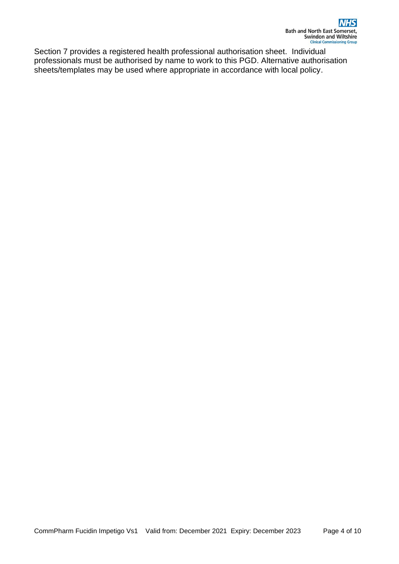Section 7 provides a registered health professional authorisation sheet. Individual professionals must be authorised by name to work to this PGD. Alternative authorisation sheets/templates may be used where appropriate in accordance with local policy.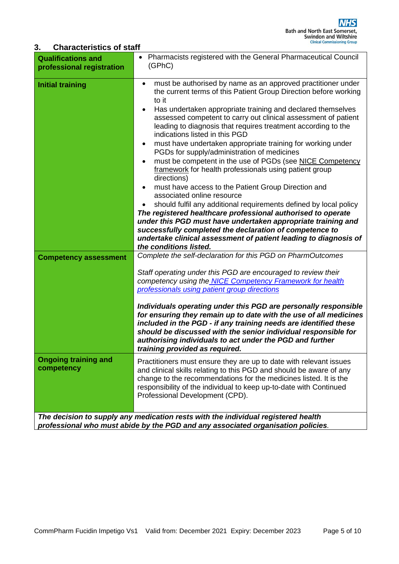#### **3. Characteristics of staff**

| <b>Qualifications and</b><br>professional registration      | Pharmacists registered with the General Pharmaceutical Council<br>(GPhC)                                                                                                                                                                                                                                                                                                                                                                                                                                                                                                                                                                                                                                                                                                                                                                                                                                                                                                                                                                                                                                       |
|-------------------------------------------------------------|----------------------------------------------------------------------------------------------------------------------------------------------------------------------------------------------------------------------------------------------------------------------------------------------------------------------------------------------------------------------------------------------------------------------------------------------------------------------------------------------------------------------------------------------------------------------------------------------------------------------------------------------------------------------------------------------------------------------------------------------------------------------------------------------------------------------------------------------------------------------------------------------------------------------------------------------------------------------------------------------------------------------------------------------------------------------------------------------------------------|
| <b>Initial training</b>                                     | must be authorised by name as an approved practitioner under<br>$\bullet$<br>the current terms of this Patient Group Direction before working<br>to it<br>Has undertaken appropriate training and declared themselves<br>assessed competent to carry out clinical assessment of patient<br>leading to diagnosis that requires treatment according to the<br>indications listed in this PGD<br>must have undertaken appropriate training for working under<br>$\bullet$<br>PGDs for supply/administration of medicines<br>must be competent in the use of PGDs (see NICE Competency<br>framework for health professionals using patient group<br>directions)<br>must have access to the Patient Group Direction and<br>associated online resource<br>should fulfil any additional requirements defined by local policy<br>The registered healthcare professional authorised to operate<br>under this PGD must have undertaken appropriate training and<br>successfully completed the declaration of competence to<br>undertake clinical assessment of patient leading to diagnosis of<br>the conditions listed. |
| <b>Competency assessment</b><br><b>Ongoing training and</b> | Complete the self-declaration for this PGD on PharmOutcomes<br>Staff operating under this PGD are encouraged to review their<br>competency using the NICE Competency Framework for health<br>professionals using patient group directions<br>Individuals operating under this PGD are personally responsible<br>for ensuring they remain up to date with the use of all medicines<br>included in the PGD - if any training needs are identified these<br>should be discussed with the senior individual responsible for<br>authorising individuals to act under the PGD and further<br>training provided as required.<br>Practitioners must ensure they are up to date with relevant issues                                                                                                                                                                                                                                                                                                                                                                                                                    |
| competency                                                  | and clinical skills relating to this PGD and should be aware of any<br>change to the recommendations for the medicines listed. It is the<br>responsibility of the individual to keep up-to-date with Continued<br>Professional Development (CPD).<br>The decision to supply any medication rests with the individual registered health                                                                                                                                                                                                                                                                                                                                                                                                                                                                                                                                                                                                                                                                                                                                                                         |
|                                                             | professional who must abide by the PGD and any associated organisation policies.                                                                                                                                                                                                                                                                                                                                                                                                                                                                                                                                                                                                                                                                                                                                                                                                                                                                                                                                                                                                                               |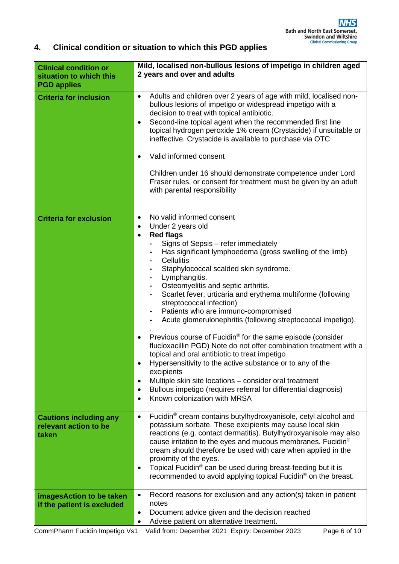# **4. Clinical condition or situation to which this PGD applies**

| <b>Clinical condition or</b><br>situation to which this<br><b>PGD applies</b> | Mild, localised non-bullous lesions of impetigo in children aged<br>2 years and over and adults                                                                                                                                                                                                                                                                                                                                                                                                                                                                                                                                                                                                                                                                                                                                                                                                                                                                                                                                             |
|-------------------------------------------------------------------------------|---------------------------------------------------------------------------------------------------------------------------------------------------------------------------------------------------------------------------------------------------------------------------------------------------------------------------------------------------------------------------------------------------------------------------------------------------------------------------------------------------------------------------------------------------------------------------------------------------------------------------------------------------------------------------------------------------------------------------------------------------------------------------------------------------------------------------------------------------------------------------------------------------------------------------------------------------------------------------------------------------------------------------------------------|
| <b>Criteria for inclusion</b>                                                 | Adults and children over 2 years of age with mild, localised non-<br>$\bullet$<br>bullous lesions of impetigo or widespread impetigo with a<br>decision to treat with topical antibiotic.<br>Second-line topical agent when the recommended first line<br>$\bullet$<br>topical hydrogen peroxide 1% cream (Crystacide) if unsuitable or<br>ineffective. Crystacide is available to purchase via OTC<br>Valid informed consent<br>$\bullet$<br>Children under 16 should demonstrate competence under Lord<br>Fraser rules, or consent for treatment must be given by an adult<br>with parental responsibility                                                                                                                                                                                                                                                                                                                                                                                                                                |
| <b>Criteria for exclusion</b>                                                 | No valid informed consent<br>$\bullet$<br>Under 2 years old<br>$\bullet$<br><b>Red flags</b><br>$\bullet$<br>Signs of Sepsis - refer immediately<br>Has significant lymphoedema (gross swelling of the limb)<br><b>Cellulitis</b><br>Staphylococcal scalded skin syndrome.<br>Lymphangitis.<br>Osteomyelitis and septic arthritis.<br>Scarlet fever, urticaria and erythema multiforme (following<br>۰<br>streptococcal infection)<br>Patients who are immuno-compromised<br>Acute glomerulonephritis (following streptococcal impetigo).<br>Previous course of Fucidin <sup>®</sup> for the same episode (consider<br>$\bullet$<br>flucloxacillin PGD) Note do not offer combination treatment with a<br>topical and oral antibiotic to treat impetigo<br>Hypersensitivity to the active substance or to any of the<br>٠<br>excipients<br>Multiple skin site locations - consider oral treatment<br>$\bullet$<br>Bullous impetigo (requires referral for differential diagnosis)<br>$\bullet$<br>Known colonization with MRSA<br>$\bullet$ |
| <b>Cautions including any</b><br>relevant action to be<br>taken               | Fucidin <sup>®</sup> cream contains butylhydroxyanisole, cetyl alcohol and<br>$\bullet$<br>potassium sorbate. These excipients may cause local skin<br>reactions (e.g. contact dermatitis). Butylhydroxyanisole may also<br>cause irritation to the eyes and mucous membranes. Fucidin <sup>®</sup><br>cream should therefore be used with care when applied in the<br>proximity of the eyes.<br>Topical Fucidin <sup>®</sup> can be used during breast-feeding but it is<br>$\bullet$<br>recommended to avoid applying topical Fucidin® on the breast.                                                                                                                                                                                                                                                                                                                                                                                                                                                                                     |
| imagesAction to be taken<br>if the patient is excluded                        | Record reasons for exclusion and any action(s) taken in patient<br>$\bullet$<br>notes<br>Document advice given and the decision reached<br>٠<br>Advise patient on alternative treatment.                                                                                                                                                                                                                                                                                                                                                                                                                                                                                                                                                                                                                                                                                                                                                                                                                                                    |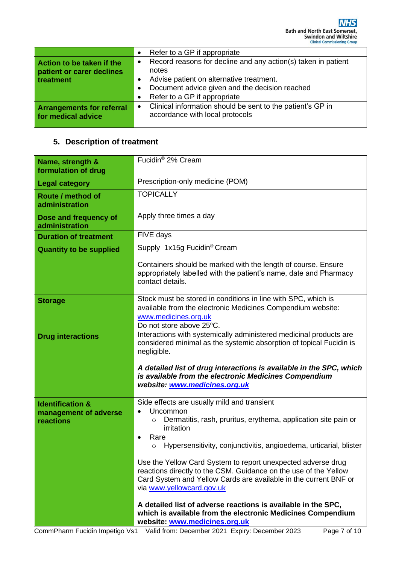|                                                                     | Refer to a GP if appropriate<br>$\bullet$                                                                                                                                                                                                   |
|---------------------------------------------------------------------|---------------------------------------------------------------------------------------------------------------------------------------------------------------------------------------------------------------------------------------------|
| Action to be taken if the<br>patient or carer declines<br>treatment | Record reasons for decline and any action(s) taken in patient<br>$\bullet$<br>notes<br>Advise patient on alternative treatment.<br>Document advice given and the decision reached<br>$\bullet$<br>Refer to a GP if appropriate<br>$\bullet$ |
| <b>Arrangements for referral</b><br>for medical advice              | Clinical information should be sent to the patient's GP in<br>$\bullet$<br>accordance with local protocols                                                                                                                                  |

# **5. Description of treatment**

| Name, strength &<br>formulation of drug | Fucidin <sup>®</sup> 2% Cream                                                                                                                                                                                                     |
|-----------------------------------------|-----------------------------------------------------------------------------------------------------------------------------------------------------------------------------------------------------------------------------------|
| <b>Legal category</b>                   | Prescription-only medicine (POM)                                                                                                                                                                                                  |
| Route / method of<br>administration     | <b>TOPICALLY</b>                                                                                                                                                                                                                  |
| Dose and frequency of<br>administration | Apply three times a day                                                                                                                                                                                                           |
| <b>Duration of treatment</b>            | FIVE days                                                                                                                                                                                                                         |
| <b>Quantity to be supplied</b>          | Supply 1x15g Fucidin <sup>®</sup> Cream                                                                                                                                                                                           |
|                                         | Containers should be marked with the length of course. Ensure<br>appropriately labelled with the patient's name, date and Pharmacy<br>contact details.                                                                            |
| <b>Storage</b>                          | Stock must be stored in conditions in line with SPC, which is<br>available from the electronic Medicines Compendium website:<br>www.medicines.org.uk<br>Do not store above 25°C.                                                  |
| <b>Drug interactions</b>                | Interactions with systemically administered medicinal products are<br>considered minimal as the systemic absorption of topical Fucidin is<br>negligible.                                                                          |
|                                         | A detailed list of drug interactions is available in the SPC, which<br>is available from the electronic Medicines Compendium<br>website: www.medicines.org.uk                                                                     |
| <b>Identification &amp;</b>             | Side effects are usually mild and transient                                                                                                                                                                                       |
| management of adverse<br>reactions      | Uncommon<br>$\bullet$<br>Dermatitis, rash, pruritus, erythema, application site pain or<br>$\circ$<br>irritation<br>Rare<br>$\bullet$<br>Hypersensitivity, conjunctivitis, angioedema, urticarial, blister<br>O                   |
|                                         | Use the Yellow Card System to report unexpected adverse drug<br>reactions directly to the CSM. Guidance on the use of the Yellow<br>Card System and Yellow Cards are available in the current BNF or<br>via www.yellowcard.gov.uk |
|                                         | A detailed list of adverse reactions is available in the SPC,<br>which is available from the electronic Medicines Compendium<br>website: www.medicines.org.uk                                                                     |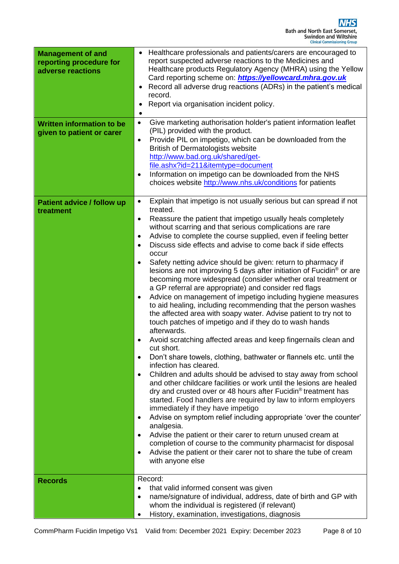| <b>Management of and</b><br>reporting procedure for<br>adverse reactions | Healthcare professionals and patients/carers are encouraged to<br>report suspected adverse reactions to the Medicines and<br>Healthcare products Regulatory Agency (MHRA) using the Yellow<br>Card reporting scheme on: https://yellowcard.mhra.gov.uk<br>Record all adverse drug reactions (ADRs) in the patient's medical<br>record.<br>Report via organisation incident policy.<br>$\bullet$                                                                                                                                                                                                                                                                                                                                                                                                                                                                                                                                                                                                                                                                                                                                                                                                                                                                                                                                                                                                                                                                                                                                                                                                                                                                                                                                                                                                                                                                                       |
|--------------------------------------------------------------------------|---------------------------------------------------------------------------------------------------------------------------------------------------------------------------------------------------------------------------------------------------------------------------------------------------------------------------------------------------------------------------------------------------------------------------------------------------------------------------------------------------------------------------------------------------------------------------------------------------------------------------------------------------------------------------------------------------------------------------------------------------------------------------------------------------------------------------------------------------------------------------------------------------------------------------------------------------------------------------------------------------------------------------------------------------------------------------------------------------------------------------------------------------------------------------------------------------------------------------------------------------------------------------------------------------------------------------------------------------------------------------------------------------------------------------------------------------------------------------------------------------------------------------------------------------------------------------------------------------------------------------------------------------------------------------------------------------------------------------------------------------------------------------------------------------------------------------------------------------------------------------------------|
| <b>Written information to be</b><br>given to patient or carer            | Give marketing authorisation holder's patient information leaflet<br>$\bullet$<br>(PIL) provided with the product.<br>Provide PIL on impetigo, which can be downloaded from the<br>$\bullet$<br><b>British of Dermatologists website</b><br>http://www.bad.org.uk/shared/get-<br>file.ashx?id=211&itemtype=document<br>Information on impetigo can be downloaded from the NHS<br>$\bullet$<br>choices website http://www.nhs.uk/conditions for patients                                                                                                                                                                                                                                                                                                                                                                                                                                                                                                                                                                                                                                                                                                                                                                                                                                                                                                                                                                                                                                                                                                                                                                                                                                                                                                                                                                                                                               |
| <b>Patient advice / follow up</b><br>treatment                           | Explain that impetigo is not usually serious but can spread if not<br>$\bullet$<br>treated.<br>Reassure the patient that impetigo usually heals completely<br>$\bullet$<br>without scarring and that serious complications are rare<br>Advise to complete the course supplied, even if feeling better<br>$\bullet$<br>Discuss side effects and advise to come back if side effects<br>$\bullet$<br>occur<br>Safety netting advice should be given: return to pharmacy if<br>$\bullet$<br>lesions are not improving 5 days after initiation of Fucidin <sup>®</sup> or are<br>becoming more widespread (consider whether oral treatment or<br>a GP referral are appropriate) and consider red flags<br>Advice on management of impetigo including hygiene measures<br>$\bullet$<br>to aid healing, including recommending that the person washes<br>the affected area with soapy water. Advise patient to try not to<br>touch patches of impetigo and if they do to wash hands<br>afterwards.<br>Avoid scratching affected areas and keep fingernails clean and<br>cut short.<br>Don't share towels, clothing, bathwater or flannels etc. until the<br>$\bullet$<br>infection has cleared.<br>Children and adults should be advised to stay away from school<br>$\bullet$<br>and other childcare facilities or work until the lesions are healed<br>dry and crusted over or 48 hours after Fucidin <sup>®</sup> treatment has<br>started. Food handlers are required by law to inform employers<br>immediately if they have impetigo<br>Advise on symptom relief including appropriate 'over the counter'<br>$\bullet$<br>analgesia.<br>Advise the patient or their carer to return unused cream at<br>$\bullet$<br>completion of course to the community pharmacist for disposal<br>Advise the patient or their carer not to share the tube of cream<br>$\bullet$<br>with anyone else |
| <b>Records</b>                                                           | Record:<br>that valid informed consent was given<br>$\bullet$<br>name/signature of individual, address, date of birth and GP with<br>$\bullet$<br>whom the individual is registered (if relevant)<br>History, examination, investigations, diagnosis<br>$\bullet$                                                                                                                                                                                                                                                                                                                                                                                                                                                                                                                                                                                                                                                                                                                                                                                                                                                                                                                                                                                                                                                                                                                                                                                                                                                                                                                                                                                                                                                                                                                                                                                                                     |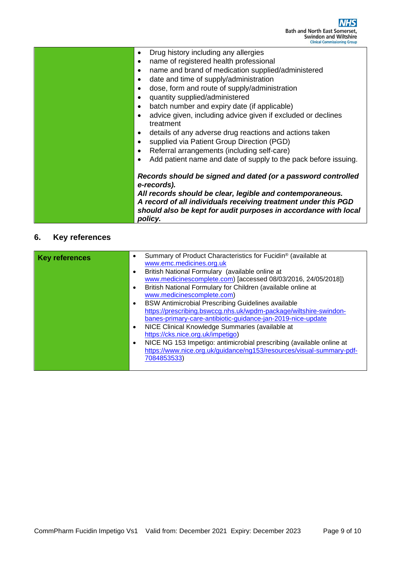| Drug history including any allergies                                                                                                         |  |
|----------------------------------------------------------------------------------------------------------------------------------------------|--|
| name of registered health professional<br>$\bullet$                                                                                          |  |
| name and brand of medication supplied/administered<br>$\bullet$                                                                              |  |
| date and time of supply/administration<br>٠                                                                                                  |  |
| dose, form and route of supply/administration<br>٠                                                                                           |  |
| quantity supplied/administered<br>$\bullet$                                                                                                  |  |
| batch number and expiry date (if applicable)<br>$\bullet$                                                                                    |  |
| advice given, including advice given if excluded or declines<br>$\bullet$                                                                    |  |
| treatment                                                                                                                                    |  |
| details of any adverse drug reactions and actions taken<br>٠                                                                                 |  |
| supplied via Patient Group Direction (PGD)<br>$\bullet$                                                                                      |  |
| Referral arrangements (including self-care)                                                                                                  |  |
| Add patient name and date of supply to the pack before issuing.                                                                              |  |
| Records should be signed and dated (or a password controlled<br>e-records).                                                                  |  |
| All records should be clear, legible and contemporaneous.                                                                                    |  |
| A record of all individuals receiving treatment under this PGD<br>should also be kept for audit purposes in accordance with local<br>policy. |  |

# **6. Key references**

| <b>Key references</b> | $\bullet$ | Summary of Product Characteristics for Fucidin <sup>®</sup> (available at<br>www.emc.medicines.org.uk                            |
|-----------------------|-----------|----------------------------------------------------------------------------------------------------------------------------------|
|                       | $\bullet$ | British National Formulary (available online at<br>www.medicinescomplete.com) [accessed 08/03/2016, 24/05/2018])                 |
|                       | $\bullet$ | British National Formulary for Children (available online at                                                                     |
|                       | $\bullet$ | www.medicinescomplete.com)<br><b>BSW Antimicrobial Prescribing Guidelines available</b>                                          |
|                       |           | https://prescribing.bswccg.nhs.uk/wpdm-package/wiltshire-swindon-<br>banes-primary-care-antibiotic-guidance-jan-2019-nice-update |
|                       | $\bullet$ | NICE Clinical Knowledge Summaries (available at                                                                                  |
|                       | $\bullet$ | https://cks.nice.org.uk/impetigo)<br>NICE NG 153 Impetigo: antimicrobial prescribing (available online at                        |
|                       |           | https://www.nice.org.uk/guidance/ng153/resources/visual-summary-pdf-<br>7084853533)                                              |
|                       |           |                                                                                                                                  |